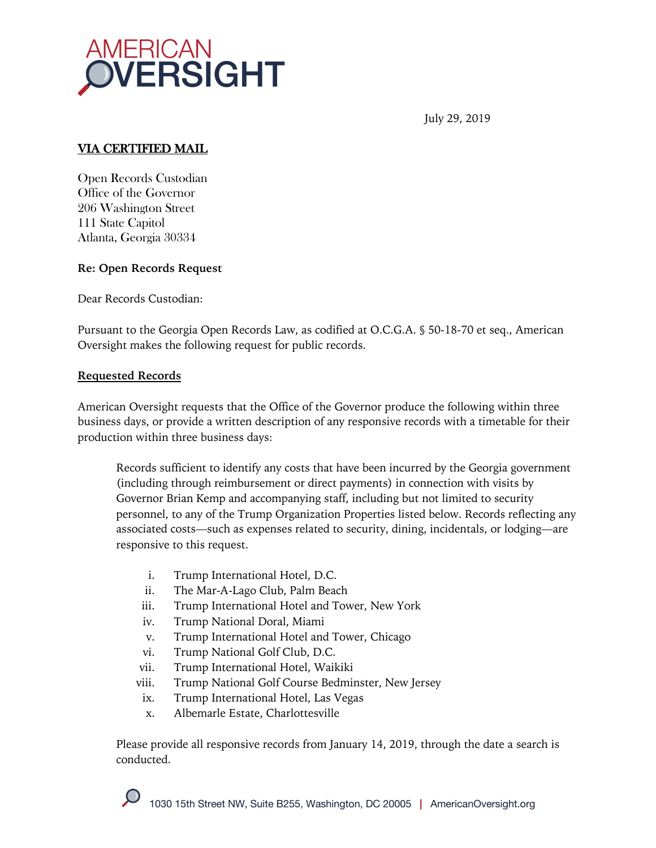

July 29, 2019

## VIA CERTIFIED MAIL

Open Records Custodian Office of the Governor 206 Washington Street 111 State Capitol Atlanta, Georgia 30334

## **Re: Open Records Request**

Dear Records Custodian:

Pursuant to the Georgia Open Records Law, as codified at O.C.G.A. § 50-18-70 et seq., American Oversight makes the following request for public records.

## **Requested Records**

American Oversight requests that the Office of the Governor produce the following within three business days, or provide a written description of any responsive records with a timetable for their production within three business days:

Records sufficient to identify any costs that have been incurred by the Georgia government (including through reimbursement or direct payments) in connection with visits by Governor Brian Kemp and accompanying staff, including but not limited to security personnel, to any of the Trump Organization Properties listed below. Records reflecting any associated costs—such as expenses related to security, dining, incidentals, or lodging—are responsive to this request.

- i. Trump International Hotel, D.C.
- ii. The Mar-A-Lago Club, Palm Beach
- iii. Trump International Hotel and Tower, New York
- iv. Trump National Doral, Miami
- v. Trump International Hotel and Tower, Chicago
- vi. Trump National Golf Club, D.C.
- vii. Trump International Hotel, Waikiki
- viii. Trump National Golf Course Bedminster, New Jersey
- ix. Trump International Hotel, Las Vegas
- x. Albemarle Estate, Charlottesville

Please provide all responsive records from January 14, 2019, through the date a search is conducted.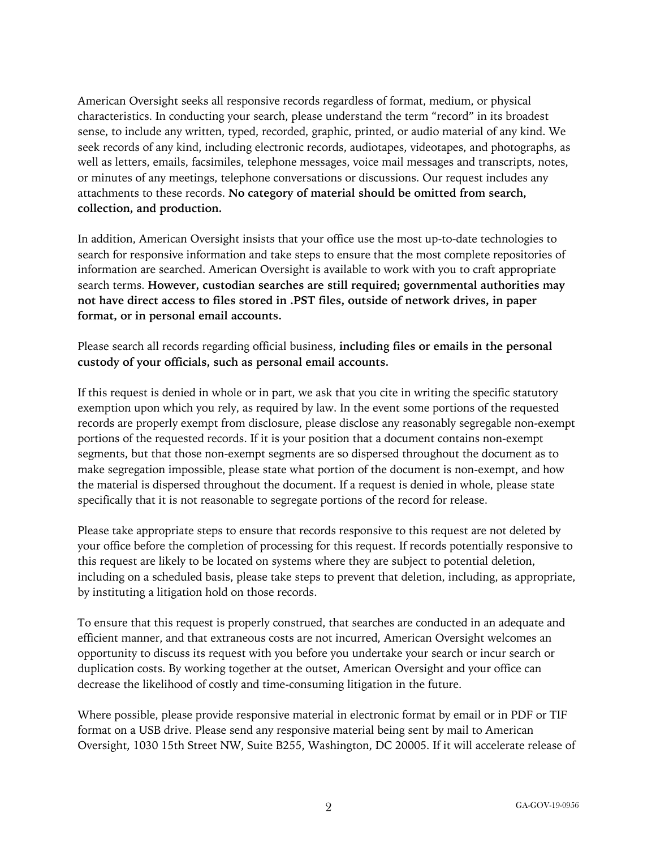American Oversight seeks all responsive records regardless of format, medium, or physical characteristics. In conducting your search, please understand the term "record" in its broadest sense, to include any written, typed, recorded, graphic, printed, or audio material of any kind. We seek records of any kind, including electronic records, audiotapes, videotapes, and photographs, as well as letters, emails, facsimiles, telephone messages, voice mail messages and transcripts, notes, or minutes of any meetings, telephone conversations or discussions. Our request includes any attachments to these records. **No category of material should be omitted from search, collection, and production.**

In addition, American Oversight insists that your office use the most up-to-date technologies to search for responsive information and take steps to ensure that the most complete repositories of information are searched. American Oversight is available to work with you to craft appropriate search terms. **However, custodian searches are still required; governmental authorities may not have direct access to files stored in .PST files, outside of network drives, in paper format, or in personal email accounts.**

Please search all records regarding official business, **including files or emails in the personal custody of your officials, such as personal email accounts.**

If this request is denied in whole or in part, we ask that you cite in writing the specific statutory exemption upon which you rely, as required by law. In the event some portions of the requested records are properly exempt from disclosure, please disclose any reasonably segregable non-exempt portions of the requested records. If it is your position that a document contains non-exempt segments, but that those non-exempt segments are so dispersed throughout the document as to make segregation impossible, please state what portion of the document is non-exempt, and how the material is dispersed throughout the document. If a request is denied in whole, please state specifically that it is not reasonable to segregate portions of the record for release.

Please take appropriate steps to ensure that records responsive to this request are not deleted by your office before the completion of processing for this request. If records potentially responsive to this request are likely to be located on systems where they are subject to potential deletion, including on a scheduled basis, please take steps to prevent that deletion, including, as appropriate, by instituting a litigation hold on those records.

To ensure that this request is properly construed, that searches are conducted in an adequate and efficient manner, and that extraneous costs are not incurred, American Oversight welcomes an opportunity to discuss its request with you before you undertake your search or incur search or duplication costs. By working together at the outset, American Oversight and your office can decrease the likelihood of costly and time-consuming litigation in the future.

Where possible, please provide responsive material in electronic format by email or in PDF or TIF format on a USB drive. Please send any responsive material being sent by mail to American Oversight, 1030 15th Street NW, Suite B255, Washington, DC 20005. If it will accelerate release of